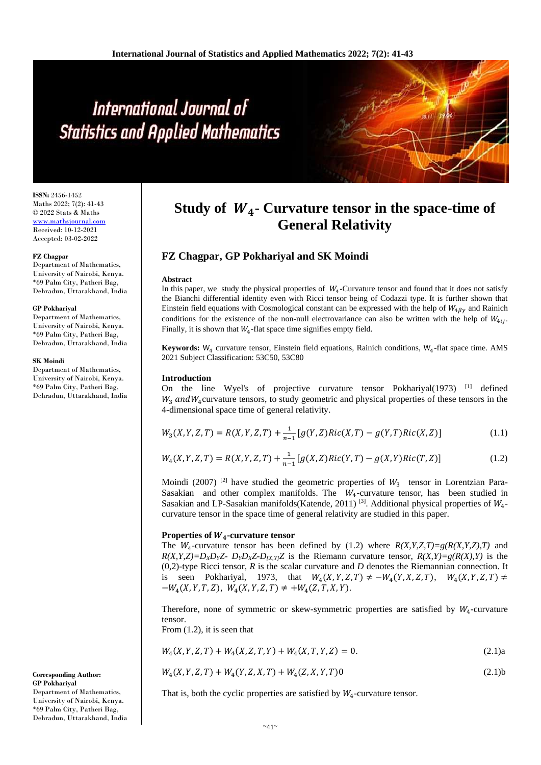# International Journal of **Statistics and Applied Mathematics**

**ISSN:** 2456-1452 Maths 2022; 7(2): 41-43 © 2022 Stats & Maths <www.mathsjournal.com> Received: 10-12-2021 Accepted: 03-02-2022

#### **FZ Chagpar**

Department of Mathematics, University of Nairobi, Kenya. \*69 Palm City, Patheri Bag, Dehradun, Uttarakhand, India

#### **GP Pokhariyal**

Department of Mathematics, University of Nairobi, Kenya. \*69 Palm City, Patheri Bag, Dehradun, Uttarakhand, India

#### **SK Moindi**

Department of Mathematics, University of Nairobi, Kenya. \*69 Palm City, Patheri Bag, Dehradun, Uttarakhand, India

**Corresponding Author: GP Pokhariyal**  Department of Mathematics, University of Nairobi, Kenya. \*69 Palm City, Patheri Bag, Dehradun, Uttarakhand, India

# **Study of**  $W_4$ **- Curvature tensor in the space-time of General Relativity**

# **FZ Chagpar, GP Pokhariyal and SK Moindi**

#### **Abstract**

In this paper, we study the physical properties of  $W_4$ -Curvature tensor and found that it does not satisfy the Bianchi differential identity even with Ricci tensor being of Codazzi type. It is further shown that Einstein field equations with Cosmological constant can be expressed with the help of  $W_{4\beta\gamma}$  and Rainich conditions for the existence of the non-null electrovariance can also be written with the help of  $W_{4ij}$ . Finally, it is shown that  $W_4$ -flat space time signifies empty field.

**Keywords:** W<sub>4</sub> curvature tensor, Einstein field equations, Rainich conditions, W<sub>4</sub>-flat space time. AMS 2021 Subject Classification: 53C50, 53C80

# **Introduction**

On the line Wyel's of projective curvature tensor Pokhariyal $(1973)$ <sup>[1]</sup> defined  $W_3$  and  $W_4$  curvature tensors, to study geometric and physical properties of these tensors in the 4-dimensional space time of general relativity.

$$
W_3(X, Y, Z, T) = R(X, Y, Z, T) + \frac{1}{n-1} [g(Y, Z)Ric(X, T) - g(Y, T)Ric(X, Z)]
$$
\n(1.1)

$$
W_4(X,Y,Z,T) = R(X,Y,Z,T) + \frac{1}{n-1} [g(X,Z)Ric(Y,T) - g(X,Y)Ric(T,Z)]
$$
\n(1.2)

Moindi (2007)<sup>[2]</sup> have studied the geometric properties of  $W_3$  tensor in Lorentzian Para-Sasakian and other complex manifolds. The  $W_4$ -curvature tensor, has been studied in Sasakian and LP-Sasakian manifolds (Katende, 2011)<sup>[3]</sup>. Additional physical properties of  $W_4$ curvature tensor in the space time of general relativity are studied in this paper.

# **Properties of**  $W_4$ **-curvature tensor**

The  $W_4$ -curvature tensor has been defined by (1.2) where  $R(X, Y, Z, T) = g(R(X, Y, Z), T)$  and  $R(X, Y, Z) = D_X D_Y Z - D_Y D_X Z - D_{[X, Y]} Z$  is the Riemann curvature tensor,  $R(X, Y) = g(R(X), Y)$  is the (0,2)-type Ricci tensor, *R* is the scalar curvature and *D* denotes the Riemannian connection. It is seen Pokhariyal, 1973, that  $W_4(X, Y, Z, T) \neq -W_4(Y, X, Z, T)$ ,  $W_4(X, Y, Z, T) \neq$  $-W_4(X, Y, T, Z), W_4(X, Y, Z, T) \neq +W_4(Z, T, X, Y).$ 

Therefore, none of symmetric or skew-symmetric properties are satisfied by  $W_4$ -curvature tensor.

From (1.2), it is seen that

$$
W_4(X, Y, Z, T) + W_4(X, Z, T, Y) + W_4(X, T, Y, Z) = 0.
$$
\n(2.1)

$$
W_4(X, Y, Z, T) + W_4(Y, Z, X, T) + W_4(Z, X, Y, T)0
$$
\n(2.1)

That is, both the cyclic properties are satisfied by  $W_4$ -curvature tensor.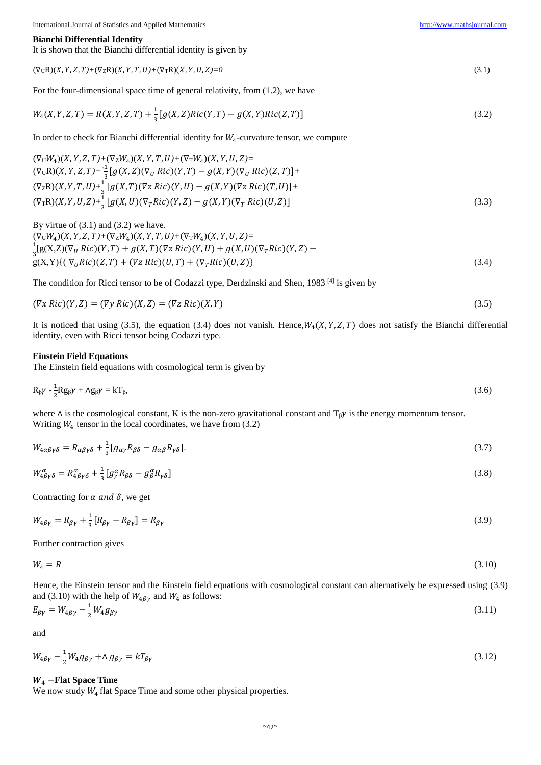For the four-dimensional space time of general relativity, from (1.2), we have  $W_4(X, Y, Z, T) = R(X, Y, Z, T) +$ 1 3  $[g(X, Z)Ric(Y, T) - g(X, Y)Ric(Z, T)]$  (3.2) In order to check for Bianchi differential identity for  $W_4$ -curvature tensor, we compute  $(\nabla_U W_4)(X, Y, Z, T)$ + $(\nabla_Z W_4)(X, Y, T, U)$ + $(\nabla_T W_4)(X, Y, U, Z)$ =  $(\nabla_{\mathbf{U}}\mathbf{R})(X, Y, Z, T)+\frac{1}{2}$  $\frac{1}{3}[g(X,Z)(\nabla_U Ric)(Y,T) - g(X,Y)(\nabla_U Ric)(Z,T)] +$  $(\nabla_Z \mathbf{R})(X, Y, T, U)+\frac{1}{3}[g(X, T)(\nabla Z \text{ Ric})(Y, U)-g(X, Y)(\nabla Z \text{ Ric})(T, U)]+$  $(\nabla_{\mathcal{T}}R)(X, Y, U, Z) + \frac{1}{3} [g(X, U)(\nabla_{\mathcal{T}}Ric)(Y, Z) - g(X, Y)(\nabla_{\mathcal{T}}Ric)(U, Z)]$  (3.3) By virtue of  $(3.1)$  and  $(3.2)$  we have.  $(\nabla_U W_4)(X, Y, Z, T)$ + $(\nabla_Z W_4)(X, Y, T, U)$ + $(\nabla_T W_4)(X, Y, U, Z)$ = 1  $\frac{1}{3}[g(X,Z)(\nabla_U Ric)(Y,T) + g(X,T)(\nabla_Z Ric)(Y,U) + g(X,U)(\nabla_T Ric)(Y,Z)$  $g(X,Y)\{\nabla_{U}Ric\}(Z,T) + (\nabla_{Z}Ric)(U,T) + (\nabla_{T}Ric)(U,Z)\}\$  (3.4) The condition for Ricci tensor to be of Codazzi type, Derdzinski and Shen, 1983  $^{[4]}$  is given by  $(\nabla x \text{ Ric})(Y, Z) = (\nabla y \text{ Ric})(X, Z) = (\nabla z \text{ Ric})(X, Y)$  (3.5) identity, even with Ricci tensor being Codazzi type. **Einstein Field Equations** The Einstein field equations with cosmological term is given by  $R_{\beta}\gamma - \frac{1}{2}$  $\frac{1}{2}Rg_{\beta}\gamma + \Lambda g_{\beta}\gamma = kT_{\beta},$  (3.6) where  $\Lambda$  is the cosmological constant, K is the non-zero gravitational constant and  $T_{\beta} \gamma$  is the energy momentum tensor. Writing  $W_4$  tensor in the local coordinates, we have from (3.2)  $W_{4\alpha\beta\gamma\delta} = R_{\alpha\beta\gamma\delta} +$ 1 3  $[g_{\alpha\gamma}R_{\beta\delta} - g_{\alpha\beta}R_{\gamma\delta}].$  (3.7)  $W^{\alpha}_{4\beta\gamma\delta} = R^{\alpha}_{4\beta\gamma\delta} + \frac{1}{3}$  $\frac{1}{3}[g^{\alpha}_{\gamma}R_{\beta\delta}-g^{\alpha}_{\beta}]$  $\alpha \beta R_{\gamma \delta}$ ] (3.8) Contracting for  $\alpha$  and  $\delta$ , we get  $W_{4\beta\gamma} = R_{\beta\gamma} + \frac{1}{2}$  $\frac{1}{3}[R_{\beta\gamma} - R_{\beta\gamma}] = R_{\beta\gamma}$  (3.9) Further contraction gives  $W_4 = R$  (3.10) and (3.10) with the help of  $W_{4\beta\gamma}$  and  $W_4$  as follows:  $E_{\beta\gamma} = W_{4\beta\gamma} -$ 1 2  $W_4 g_{\beta\gamma}$  (3.11) and  $W_{4\beta\gamma}-\frac{1}{2}$  $\frac{1}{2}W_4 g_{\beta\gamma} + \Lambda g_{\beta\gamma} = kT_{\beta\gamma}$  (3.12) −**Flat Space Time** We now study  $W_4$  flat Space Time and some other physical properties.

#### **Bianchi Differential Identity**

It is shown that the Bianchi differential identity is given by

| $(\nabla_U R)(X, Y, Z, T)$ + $(\nabla_Z R)(X, Y, T, U)$ + $(\nabla_T R)(X, Y, U, Z)$ =0 |  |
|-----------------------------------------------------------------------------------------|--|

$$
W_4(X, Y, Z, T) = R(X, Y, Z, T) + \frac{1}{2} [g(X, Z) Ric(Y, T) - g(X, Y) Ric(Z, T)] \tag{3.2}
$$

It is noticed that using (3.5), the equation (3.4) does not vanish. Hence,  $W_4(X, Y, Z, T)$  does not satisfy the Bianchi differential

$$
W_{4\alpha\beta\gamma\delta} = R_{\alpha\beta\gamma\delta} + \frac{1}{3} [g_{\alpha\gamma} R_{\beta\delta} - g_{\alpha\beta} R_{\gamma\delta}].
$$
\n(3.7)

$$
W_4 = R \tag{3.10}
$$

Hence, the Einstein tensor and the Einstein field equations with cosmological constant can alternatively be expressed using (3.9)

$$
E_{\beta\gamma} = W_{4\beta\gamma} - \frac{1}{2}W_4 g_{\beta\gamma} \tag{3.11}
$$